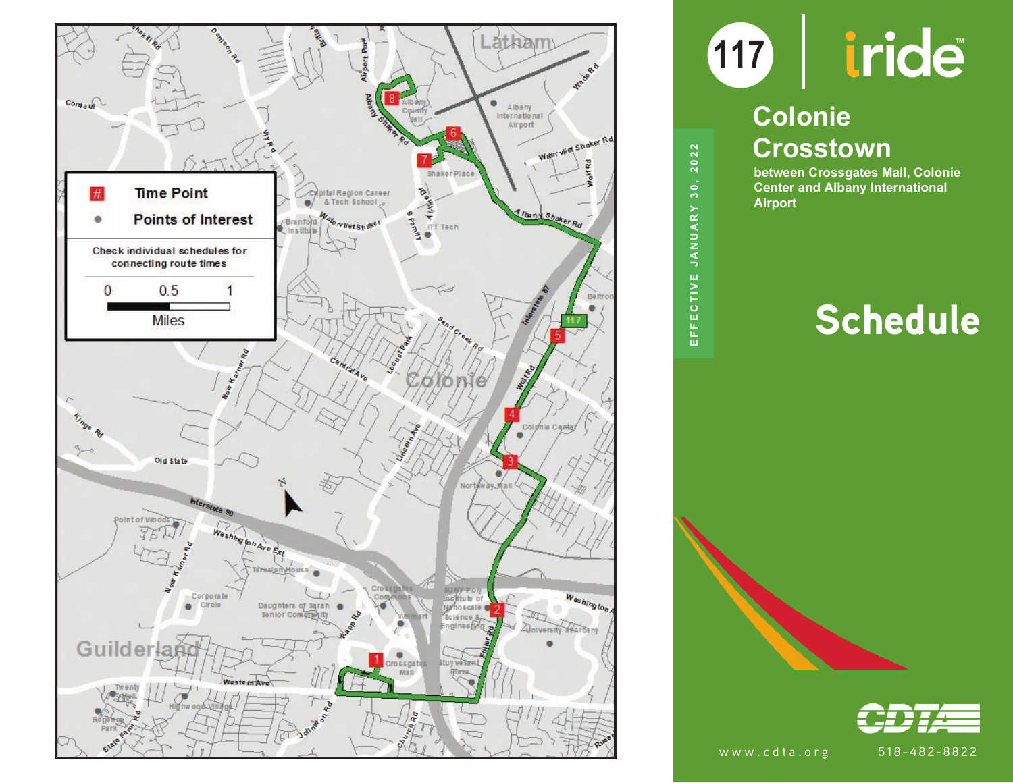

EFFECTIVE JANUARY 30, 2022 **EFFECTIVE JANUARY 30, 2022**

# **117**

### **Colonie Crosstown**

**between Crossgates Mall, Colonie Center and Albany International Airport**

## Schedule